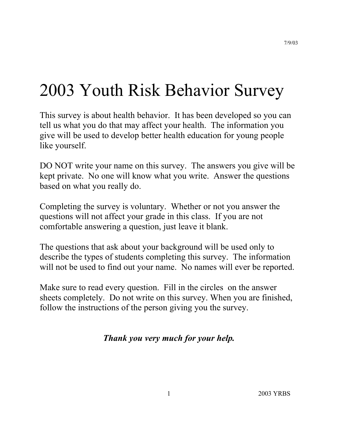# 2003 Youth Risk Behavior Survey

This survey is about health behavior. It has been developed so you can tell us what you do that may affect your health. The information you give will be used to develop better health education for young people like yourself.

DO NOT write your name on this survey. The answers you give will be kept private. No one will know what you write. Answer the questions based on what you really do.

Completing the survey is voluntary. Whether or not you answer the questions will not affect your grade in this class. If you are not comfortable answering a question, just leave it blank.

The questions that ask about your background will be used only to describe the types of students completing this survey. The information will not be used to find out your name. No names will ever be reported.

Make sure to read every question. Fill in the circles on the answer sheets completely. Do not write on this survey. When you are finished, follow the instructions of the person giving you the survey.

# *Thank you very much for your help.*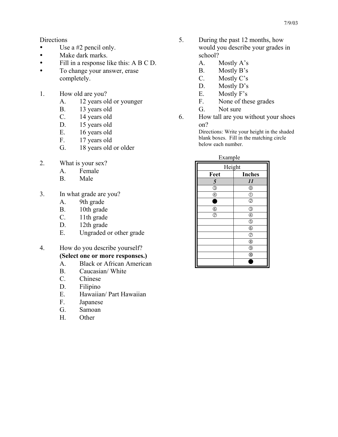**Directions** 

- $\bullet$  Use a #2 pencil only.
- Make dark marks.
- y Fill in a response like this: A B C D.
- To change your answer, erase completely.
- 1. How old are you?
	- A. 12 years old or younger
	- B. 13 years old
	- C. 14 years old
	- D. 15 years old
	- E. 16 years old
	- F. 17 years old
	- G. 18 years old or older
- 2. What is your sex?
	- A. Female
	- B. Male
- 3. In what grade are you?
	- A. 9th grade
	- B. 10th grade
	- C. 11th grade
	- D. 12th grade
	- E. Ungraded or other grade
- 4. How do you describe yourself? **(Select one or more responses.)**
	- A. Black or African American
	- B. Caucasian/ White
	- C. Chinese
	- D. Filipino
	- E. Hawaiian/ Part Hawaiian
	- F. Japanese
	- G. Samoan
	- H. Other
- 5. During the past 12 months, how would you describe your grades in school?
	- A. Mostly A's
	- B. Mostly B's
	- C. Mostly C's
	- D. Mostly D's
	- E. Mostly F's
	- F. None of these grades
	- G. Not sure
- 6. How tall are you without your shoes on?

Directions: Write your height in the shaded blank boxes. Fill in the matching circle below each number.

| Example                                   |                                           |
|-------------------------------------------|-------------------------------------------|
| Height                                    |                                           |
| Feet                                      | <b>Inches</b>                             |
| 5                                         | 11                                        |
| $\overline{\textcircled{\scriptsize{3}}}$ | $^{\circledR}$                            |
| $^{\circledR}$                            | $\circled{0}$                             |
| г                                         | $\overline{\circ}$                        |
| $6$                                       | $\overline{\textcircled{\scriptsize{3}}}$ |
| $\overline{\circ}$                        | $^{\circledR}$                            |
|                                           | $\overline{\mathbb{Q}}$                   |
|                                           | $^{\circ}$                                |
|                                           | $\bar{\odot}$                             |
|                                           | $^{\circledR}$                            |
|                                           | $\overline{\circledcirc}$                 |
|                                           | $\overline{\circledcirc}$                 |
|                                           |                                           |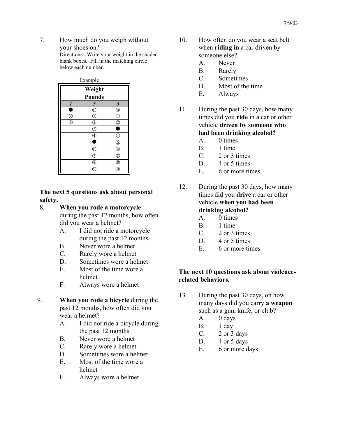7. How much do you weigh without your shoes on? Directions: Write your weight in the shaded blank boxes. Fill in the matching circle below each number.

> Example **Weight Pounds**  *1 5 3*   $\bullet$   $\circ$   $\circ$   $\circ$  $\circ$  0 0 3 | 2 | 2  $\circ$   $\bullet$  $\bullet$  (4) (4)  $\begin{array}{|c|c|c|}\hline \text{\textcircled{6}} & \text{\textcircled{6}} \\\hline \text{\textcircled{6}} & \text{\textcircled{6}} \\\hline \end{array}$  $\overline{6}$  $\oslash$   $\oslash$  $\circledS$   $\qquad$   $\circledS$  $\circledcirc$   $\circledcirc$

**The next 5 questions ask about personal safety.**

## 8. **When you rode a motorcycle**

during the past 12 months, how often did you wear a helmet?

- A. I did not ride a motorcycle during the past 12 months
- B. Never wore a helmet
- C. Rarely wore a helmet
- D. Sometimes wore a helmet
- E. Most of the time wore a helmet
- F. Always wore a helmet
- 9. **When you rode a bicycle** during the past 12 months, how often did you wear a helmet?
	- A. I did not ride a bicycle during the past 12 months
	- B. Never wore a helmet
	- C. Rarely wore a helmet
	- D. Sometimes wore a helmet
	- E. Most of the time wore a helmet
	- F. Always wore a helmet
- 10. How often do you wear a seat belt when **riding in** a car driven by someone else?
	- A. Never
	- B. Rarely
	- C. Sometimes
	- D. Most of the time
	- E. Always
- 11. During the past 30 days, how many times did you **ride** in a car or other vehicle **driven by someone who had been drinking alcohol?**
	- A. 0 times
	- B. 1 time
	- C. 2 or 3 times
	- D. 4 or 5 times
	- E. 6 or more times
- 12. During the past 30 days, how many times did you **drive** a car or other vehicle **when you had been drinking alcohol?**
	- A. 0 times
	- B. 1 time
	- C. 2 or 3 times
	- D. 4 or 5 times
	- E. 6 or more times

## **The next 10 questions ask about violencerelated behaviors.**

- 13. During the past 30 days, on how many days did you carry **a weapon** such as a gun, knife, or club?
	- A. 0 days
	- B. 1 day
	- C. 2 or 3 days
	- D.  $4$  or  $5$  days
	- E. 6 or more days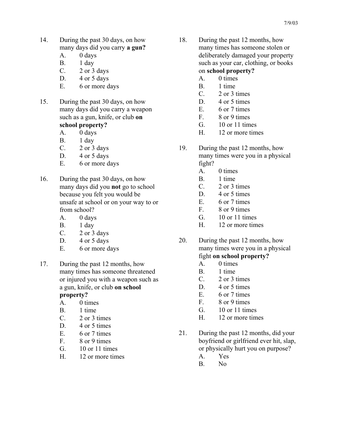- 14. During the past 30 days, on how many days did you carry **a gun?**
	- A. 0 days
	- B. 1 day
	- C. 2 or 3 days
	- D.  $4$  or  $5$  days
	- E. 6 or more days
- 15. During the past 30 days, on how many days did you carry a weapon such as a gun, knife, or club **on school property?** 
	- A. 0 days
	- B. 1 day
	- C. 2 or 3 days
	- D.  $4$  or  $5$  days
	- E. 6 or more days
- 16. During the past 30 days, on how many days did you **not** go to school because you felt you would be unsafe at school or on your way to or from school?
	- A. 0 days
	- B. 1 day
	- C.  $2$  or  $3$  days
	- D. 4 or 5 days
	- E. 6 or more days
- 17. During the past 12 months, how many times has someone threatened or injured you with a weapon such as a gun, knife, or club **on school property?**
	- A. 0 times
	- B. 1 time
	- C. 2 or 3 times
	- D. 4 or 5 times
	- E. 6 or 7 times
	- F. 8 or 9 times
	- G. 10 or 11 times
	- H. 12 or more times
- 18. During the past 12 months, how many times has someone stolen or deliberately damaged your property such as your car, clothing, or books on **school property?**
	- A. 0 times
	- B. 1 time
	- C. 2 or 3 times
	- D. 4 or 5 times
	- E. 6 or 7 times
	- F. 8 or 9 times
	- G. 10 or 11 times
	- H. 12 or more times
- 19. During the past 12 months, how many times were you in a physical fight?
	- A. 0 times
	- B. 1 time
	- C. 2 or 3 times
	- D. 4 or 5 times
	- E. 6 or 7 times
	- F. 8 or 9 times
	- G. 10 or 11 times
	- H. 12 or more times
- 20. During the past 12 months, how many times were you in a physical fight **on school property?**
	- A. 0 times
	- B. 1 time
	- C. 2 or 3 times
	- D. 4 or 5 times
	- E. 6 or 7 times
	- F. 8 or 9 times
	- G. 10 or 11 times
	- H. 12 or more times
- 21. During the past 12 months, did your boyfriend or girlfriend ever hit, slap, or physically hurt you on purpose?
	- A. Yes
	- B. No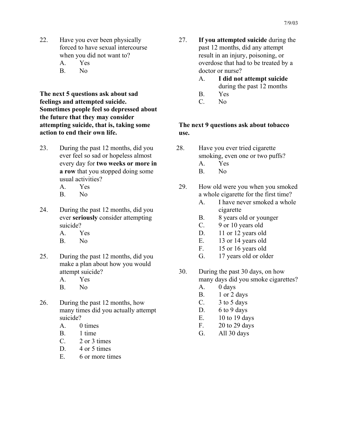- 22. Have you ever been physically forced to have sexual intercourse when you did not want to?
	- A. Yes
	- B. No

**The next 5 questions ask about sad feelings and attempted suicide. Sometimes people feel so depressed about the future that they may consider attempting suicide, that is, taking some action to end their own life.** 

- 23. During the past 12 months, did you ever feel so sad or hopeless almost every day for **two weeks or more in a row** that you stopped doing some usual activities?
	- A. Yes
	- B. No
- 24. During the past 12 months, did you ever **seriously** consider attempting suicide?
	- A. Yes
	- B. No
- 25. During the past 12 months, did you make a plan about how you would attempt suicide? A. Yes
	-
	- B. No
- 26. During the past 12 months, how many times did you actually attempt suicide?
	- A. 0 times
	- B. 1 time
	- C. 2 or 3 times
	- D. 4 or 5 times
	- E. 6 or more times
- 27. **If you attempted suicide** during the past 12 months, did any attempt result in an injury, poisoning, or overdose that had to be treated by a doctor or nurse?
	- A. **I did not attempt suicide**
		- during the past 12 months
	- B. Yes
	- C. No

**The next 9 questions ask about tobacco use.**

- 28. Have you ever tried cigarette smoking, even one or two puffs?
	- A. Yes
	- B. No
- 29. How old were you when you smoked a whole cigarette for the first time?
	- A. I have never smoked a whole cigarette
	- B. 8 years old or younger
	- C. 9 or 10 years old
	- D. 11 or 12 years old
	- E. 13 or 14 years old
	- F. 15 or 16 years old
	- G. 17 years old or older
- 30. During the past 30 days, on how many days did you smoke cigarettes?
	- A. 0 days
	- B. 1 or 2 days
	- C. 3 to 5 days
	- D.  $6$  to 9 days
	- E. 10 to 19 days
	- F. 20 to 29 days
	- G. All 30 days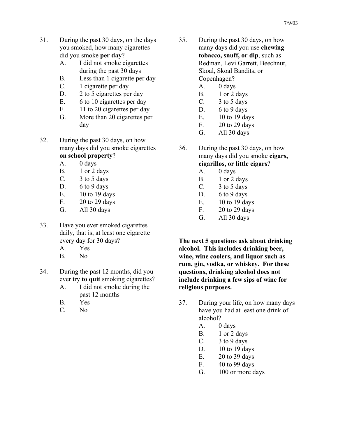- 31. During the past 30 days, on the days you smoked, how many cigarettes did you smoke **per day**?
	- A. I did not smoke cigarettes during the past 30 days
	- B. Less than 1 cigarette per day
	- C. 1 cigarette per day
	- D. 2 to 5 cigarettes per day
	- E. 6 to 10 cigarettes per day
	- F. 11 to 20 cigarettes per day
	- G. More than 20 cigarettes per day
- 32. During the past 30 days, on how many days did you smoke cigarettes **on school property**?

# A. 0 days

- 
- B. 1 or 2 days
- C. 3 to 5 days
- D. 6 to 9 days
- E. 10 to 19 days
- F. 20 to 29 days
- G. All 30 days
- 33. Have you ever smoked cigarettes daily, that is, at least one cigarette every day for 30 days?
	- A. Yes
	- B. No
- 34. During the past 12 months, did you ever try **to quit** smoking cigarettes?
	- A. I did not smoke during the past 12 months
	- B. Yes
	- C. No
- 35. During the past 30 days, on how many days did you use **chewing tobacco, snuff, or dip**, such as Redman, Levi Garrett, Beechnut, Skoal, Skoal Bandits, or Copenhagen?
	- A. 0 days
	- B. 1 or 2 days
	- C. 3 to 5 days
	- D. 6 to 9 days
	- E. 10 to 19 days
	- F. 20 to 29 days
	- G. All 30 days
- 36. During the past 30 days, on how many days did you smoke **cigars, cigarillos, or little cigars**?
	- A. 0 days
	- B. 1 or 2 days
	- C.  $3 \text{ to } 5 \text{ days}$
	- D. 6 to 9 days
	- E. 10 to 19 days
	- F. 20 to 29 days
	- G. All 30 days

**The next 5 questions ask about drinking alcohol. This includes drinking beer, wine, wine coolers, and liquor such as rum, gin, vodka, or whiskey. For these questions, drinking alcohol does not include drinking a few sips of wine for religious purposes.**

- 37. During your life, on how many days have you had at least one drink of alcohol?
	- A. 0 days
	- B. 1 or 2 days
	- C.  $3 \text{ to } 9 \text{ days}$
	- D. 10 to 19 days
	- E. 20 to 39 days
	- F. 40 to 99 days
	- G. 100 or more days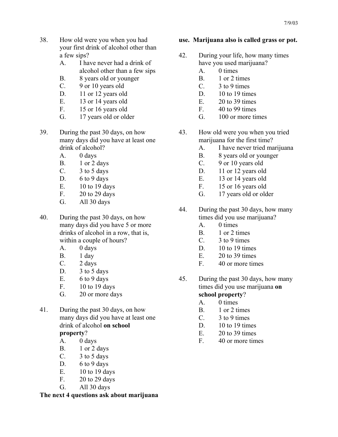- 38. How old were you when you had your first drink of alcohol other than a few sips?
	- A. I have never had a drink of alcohol other than a few sips
	- B. 8 years old or younger
	- C. 9 or 10 years old
	- D. 11 or 12 years old
	- E. 13 or 14 years old
	- F. 15 or 16 years old
	- G. 17 years old or older
- 39. During the past 30 days, on how many days did you have at least one drink of alcohol?
	- A. 0 days
	- B. 1 or 2 days
	- C.  $3 \text{ to } 5 \text{ days}$
	- D.  $6$  to 9 days
	- E. 10 to 19 days
	- F. 20 to 29 days
	- G. All 30 days
- 40. During the past 30 days, on how many days did you have 5 or more drinks of alcohol in a row, that is, within a couple of hours?
	- A. 0 days
	- B. 1 day
	- C. 2 days
	- D. 3 to 5 days
	- E.  $6$  to 9 days
	- F. 10 to 19 days
	- G. 20 or more days
- 41. During the past 30 days, on how many days did you have at least one drink of alcohol **on school property**?
	- A. 0 days
	- B. 1 or 2 days
	- C.  $3 \text{ to } 5 \text{ days}$
	- D.  $6$  to 9 days
	- E. 10 to 19 days
	- F. 20 to 29 days
	- G. All 30 days

# **The next 4 questions ask about marijuana**

# **use. Marijuana also is called grass or pot.**

- 42. During your life, how many times have you used marijuana?
	- A. 0 times
	- B. 1 or 2 times
	- C. 3 to 9 times
	- D. 10 to 19 times
	- $E. 20 to 39 times$
	- F. 40 to 99 times
	- G. 100 or more times
- 43. How old were you when you tried marijuana for the first time?
	- A. I have never tried marijuana
	- B. 8 years old or younger<br>C. 9 or 10 years old
	- 9 or 10 years old
	- D. 11 or 12 years old
	- E. 13 or 14 years old
	- F. 15 or 16 years old
	- G. 17 years old or older
- 44. During the past 30 days, how many times did you use marijuana?
	- A. 0 times
	- B. 1 or 2 times
	- C. 3 to 9 times
	- D. 10 to 19 times
	- E.  $20 \text{ to } 39 \text{ times}$
	- F. 40 or more times
- 45. During the past 30 days, how many times did you use marijuana **on school property**?
	- A. 0 times
	- B. 1 or 2 times
	- C. 3 to 9 times
	- D. 10 to 19 times
	- $E. 20 to 39 times$
	- F. 40 or more times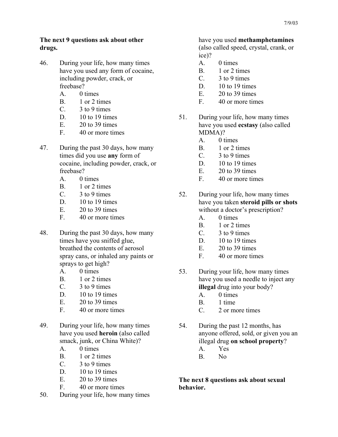#### **The next 9 questions ask about other drugs.**

- 46. During your life, how many times have you used any form of cocaine, including powder, crack, or freebase?
	- A. 0 times
	- B. 1 or 2 times
	- C. 3 to 9 times
	- D. 10 to 19 times
	- E. 20 to 39 times
	- F. 40 or more times
- 47. During the past 30 days, how many times did you use **any** form of cocaine, including powder, crack, or freebase?
	- A. 0 times
	- B. 1 or 2 times
	- C. 3 to 9 times
	- D. 10 to 19 times
	- E.  $20 \text{ to } 39 \text{ times}$
	- F. 40 or more times
- 48. During the past 30 days, how many times have you sniffed glue, breathed the contents of aerosol spray cans, or inhaled any paints or sprays to get high?
	- A. 0 times
	- B. 1 or 2 times
	- C. 3 to 9 times
	- D. 10 to 19 times
	- $E. 20 to 39 times$
	- F. 40 or more times
- 49. During your life, how many times have you used **heroin** (also called smack, junk, or China White)?
	- A. 0 times
	- B. 1 or 2 times
	- C. 3 to 9 times
	- $D.$  10 to 19 times
	- E. 20 to 39 times
	- F. 40 or more times
- 50. During your life, how many times

# have you used **methamphetamines**

(also called speed, crystal, crank, or ice)?

- A. 0 times
- B. 1 or 2 times
- C. 3 to 9 times
- $D.$  10 to 19 times
- E. 20 to 39 times
- F. 40 or more times
- 51. During your life, how many times have you used **ecstasy** (also called MDMA)?
	- A. 0 times
	- B. 1 or 2 times
	- C. 3 to 9 times
	- D. 10 to 19 times
	- $E = 20$  to 39 times
	- F. 40 or more times
- 52. During your life, how many times have you taken **steroid pills or shots**  without a doctor's prescription?
	- A. 0 times
	- B. 1 or 2 times
	- C. 3 to 9 times
	- D. 10 to 19 times
	- $E = 20$  to 39 times
	- F. 40 or more times
- 53. During your life, how many times have you used a needle to inject any **illegal** drug into your body?
	- A. 0 times
	- B. 1 time
	- C. 2 or more times
- 54. During the past 12 months, has anyone offered, sold, or given you an illegal drug **on school property**?
	- A. Yes
	- B. No

**The next 8 questions ask about sexual behavior.**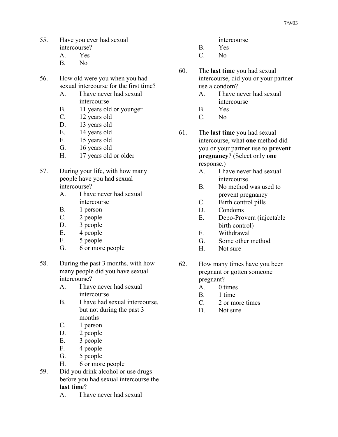- 55. Have you ever had sexual intercourse?
	- A. Yes
	- B. No
- 56. How old were you when you had sexual intercourse for the first time?
	- A. I have never had sexual intercourse
	- B. 11 years old or younger
	- C. 12 years old
	- D. 13 years old
	- E. 14 years old
	- F. 15 years old
	- G. 16 years old
	- H. 17 years old or older
- 57. During your life, with how many people have you had sexual intercourse?
	- A. I have never had sexual intercourse
	- B. 1 person
	- C. 2 people
	- D. 3 people
	- E. 4 people
	- F. 5 people
	- G. 6 or more people
- 58. During the past 3 months, with how many people did you have sexual intercourse?
	- A. I have never had sexual intercourse
	- B. I have had sexual intercourse, but not during the past 3 months
	- C. 1 person
	- D. 2 people
	- E. 3 people
	- F. 4 people
	- G. 5 people
	- H. 6 or more people
- 59. Did you drink alcohol or use drugs before you had sexual intercourse the **last time**?
	- A. I have never had sexual
- intercourse
- B. Yes
- C. No
- 60. The **last time** you had sexual intercourse, did you or your partner use a condom?
	- A. I have never had sexual intercourse
	- B. Yes
	- C. No
- 61. The **last time** you had sexual intercourse, what **one** method did you or your partner use to **prevent pregnancy**? (Select only **one**  response.)
	- A. I have never had sexual intercourse
	- B. No method was used to prevent pregnancy
	- C. Birth control pills
	- D. Condoms
	- E. Depo-Provera (injectable birth control)
	- F. Withdrawal
	- G. Some other method
	- H. Not sure
- 62. How many times have you been pregnant or gotten someone pregnant?
	- A. 0 times
	- B. 1 time
	- C. 2 or more times
	- D. Not sure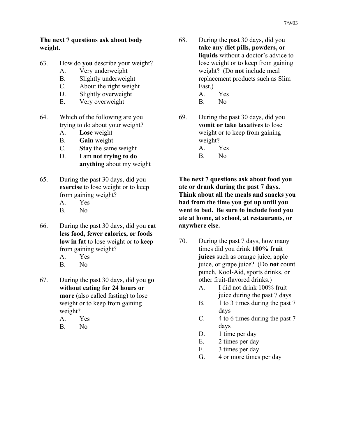#### **The next 7 questions ask about body weight.**

- 63. How do **you** describe your weight?
	- A. Very underweight
	- B. Slightly underweight
	- C. About the right weight
	- D. Slightly overweight
	- E. Very overweight
- 64. Which of the following are you trying to do about your weight?
	- A. **Lose** weight
	- B. **Gain** weight
	- C. **Stay** the same weight
	- D. I am **not trying to do anything** about my weight
- 65. During the past 30 days, did you **exercise** to lose weight or to keep from gaining weight?
	- A. Yes
	- B. No
- 66. During the past 30 days, did you **eat less food, fewer calories, or foods low in fat** to lose weight or to keep from gaining weight?
	- A. Yes
	- B. No
- 67. During the past 30 days, did you **go without eating for 24 hours or more** (also called fasting) to lose weight or to keep from gaining weight?
	- A. Yes
	- B. No
- 68. During the past 30 days, did you **take any diet pills, powders, or liquids** without a doctor's advice to lose weight or to keep from gaining weight? (Do **not** include meal replacement products such as Slim Fast.)
	- A. Yes
	- B. No
- 69. During the past 30 days, did you **vomit or take laxatives** to lose weight or to keep from gaining weight?
	- A. Yes
	- B. No

**The next 7 questions ask about food you ate or drank during the past 7 days. Think about all the meals and snacks you had from the time you got up until you went to bed. Be sure to include food you ate at home, at school, at restaurants, or anywhere else.** 

- 70. During the past 7 days, how many times did you drink **100% fruit juices** such as orange juice, apple juice, or grape juice? (Do **not** count punch, Kool-Aid, sports drinks, or other fruit-flavored drinks.)
	- A. I did not drink 100% fruit juice during the past 7 days
	- B. 1 to 3 times during the past 7 days
	- C. 4 to 6 times during the past 7 days
	- D. 1 time per day
	- E. 2 times per day
	- F. 3 times per day
	- G. 4 or more times per day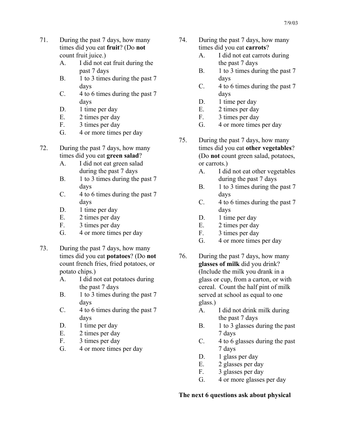- 71. During the past 7 days, how many times did you eat **fruit**? (Do **not** count fruit juice.)
	- A. I did not eat fruit during the past 7 days
	- B. 1 to 3 times during the past 7 days
	- C. 4 to 6 times during the past 7 days
	- D. 1 time per day
	- E. 2 times per day
	- F. 3 times per day
	- G. 4 or more times per day
- 72. During the past 7 days, how many times did you eat **green salad**?
	- A. I did not eat green salad during the past 7 days
	- B. 1 to 3 times during the past 7 days
	- C. 4 to 6 times during the past 7 days
	- D. 1 time per day
	- E. 2 times per day
	- F. 3 times per day
	- G. 4 or more times per day
- 73. During the past 7 days, how many times did you eat **potatoes**? (Do **not** count french fries, fried potatoes, or potato chips.)
	- A. I did not eat potatoes during the past 7 days
	- B. 1 to 3 times during the past 7 days
	- C. 4 to 6 times during the past 7 days
	- D. 1 time per day
	- E. 2 times per day
	- F. 3 times per day
	- G. 4 or more times per day
- 74. During the past 7 days, how many times did you eat **carrots**?
	- A. I did not eat carrots during the past 7 days
	- B. 1 to 3 times during the past 7 days
	- C. 4 to 6 times during the past 7 days
	- D. 1 time per day
	- E. 2 times per day
	- F. 3 times per day
	- G. 4 or more times per day
- 75. During the past 7 days, how many times did you eat **other vegetables**? (Do **not** count green salad, potatoes, or carrots.)
	- A. I did not eat other vegetables during the past 7 days
	- B. 1 to 3 times during the past 7 days
	- C. 4 to 6 times during the past 7 days
	- D. 1 time per day
	- E. 2 times per day
	- F. 3 times per day
	- G. 4 or more times per day
- 76. During the past 7 days, how many **glasses of milk** did you drink? (Include the milk you drank in a glass or cup, from a carton, or with cereal. Count the half pint of milk served at school as equal to one glass.)
	- A. I did not drink milk during the past 7 days
	- B. 1 to 3 glasses during the past 7 days
	- C. 4 to 6 glasses during the past 7 days
	- D. 1 glass per day
	- E. 2 glasses per day
	- F. 3 glasses per day
	- G. 4 or more glasses per day

## **The next 6 questions ask about physical**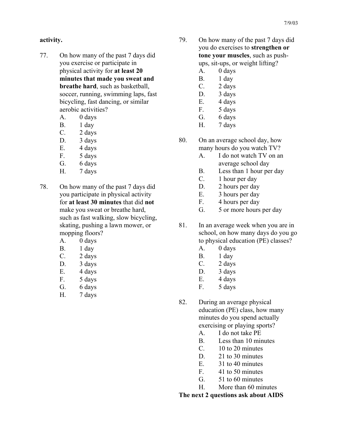# **activity.**

- 77. On how many of the past 7 days did you exercise or participate in physical activity for **at least 20 minutes that made you sweat and breathe hard**, such as basketball, soccer, running, swimming laps, fast bicycling, fast dancing, or similar aerobic activities?
	- A. 0 days
	- B. 1 day
	- C. 2 days
	- D. 3 days
	- E. 4 days
	- F. 5 days
	- G. 6 days
	- H. 7 days
- 78. On how many of the past 7 days did you participate in physical activity for **at least 30 minutes** that did **not** make you sweat or breathe hard, such as fast walking, slow bicycling, skating, pushing a lawn mower, or mopping floors?
	- A. 0 days
	- B. 1 day
	- C. 2 days
	- D. 3 days
	- E. 4 days
	- F. 5 days
	- G. 6 days
	- H. 7 days
- 79. On how many of the past 7 days did you do exercises to **strengthen or tone your muscles**, such as pushups, sit-ups, or weight lifting?
	- A. 0 days
	- B. 1 day
	- $C.$  2 days
	- D. 3 days
	- E. 4 days
	- F. 5 days
	- G. 6 days
	- H. 7 days
- 80. On an average school day, how many hours do you watch TV?
	- A. I do not watch TV on an average school day
	- B. Less than 1 hour per day
	- C. 1 hour per day
	- D. 2 hours per day
	- E. 3 hours per day
	- F. 4 hours per day
	- G. 5 or more hours per day
- 81. In an average week when you are in school, on how many days do you go to physical education (PE) classes?
	- A. 0 days
	- B. 1 day
	- C. 2 days
	- D. 3 days
	- E. 4 days
	- F. 5 days
- 82. During an average physical education (PE) class, how many minutes do you spend actually exercising or playing sports?
	- A. I do not take PE
	- B. Less than 10 minutes
	- C. 10 to 20 minutes
	- D. 21 to 30 minutes
	- E. 31 to 40 minutes
	- F. 41 to 50 minutes
	- G. 51 to 60 minutes
	- H. More than 60 minutes

**The next 2 questions ask about AIDS**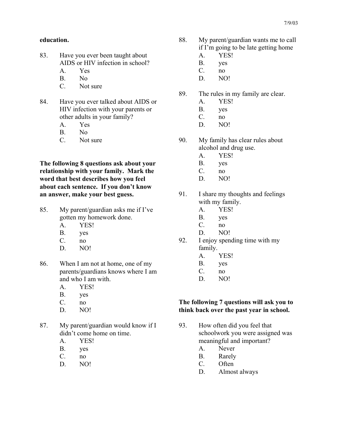#### **education.**

- 83. Have you ever been taught about AIDS or HIV infection in school?
	- A. Yes
	- B. No
	- C. Not sure
- 84. Have you ever talked about AIDS or HIV infection with your parents or other adults in your family?
	- A. Yes
	- B. No
	- C. Not sure

**The following 8 questions ask about your relationship with your family. Mark the word that best describes how you feel about each sentence. If you don't know an answer, make your best guess.** 

- 85. My parent/guardian asks me if I've gotten my homework done.
	- A. YES!
	- B. yes
	- C. no
	- D. NO!
- 86. When I am not at home, one of my parents/guardians knows where I am and who I am with.
	- A. YES!
	- B. yes
	- C. no
	- D. NO!
- 87. My parent/guardian would know if I didn't come home on time.
	- A. YES!
	- B. yes
	- C. no
	- D. NO!
- 88. My parent/guardian wants me to call if I'm going to be late getting home
	- A. YES!
	- B. yes
	- C. no
	- D. NO!
- 89. The rules in my family are clear.
	- A. YES!
	- B. yes
	- C. no
	- D. NO!
- 90. My family has clear rules about alcohol and drug use.
	- A. YES!
	- B. yes
	- C. no
	- D. NO!
- 91. I share my thoughts and feelings with my family.
	- A. YES!
	- B. yes
	- C. no
	- D. NO!
- 92. I enjoy spending time with my family.
	- A. YES!
	- B. yes
	- C. no
	- D. NO!

#### **The following 7 questions will ask you to think back over the past year in school.**

- 93. How often did you feel that schoolwork you were assigned was meaningful and important?
	- A. Never
	- B. Rarely
	- C. Often
	- D. Almost always